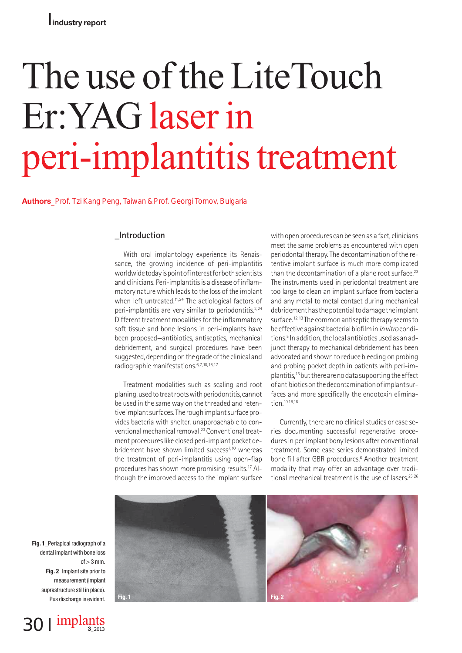# The use of the LiteTouch Er:YAG laser in peri-implantitis treatment

**Authors** Prof. Tzi Kang Peng, Taiwan & Prof. Georgi Tomov, Bulgaria

#### **\_Introduction**

With oral implantology experience its Renaissance, the growing incidence of peri-implantitis worldwide today is point of interest for both scientists and clinicians. Peri-implantitis is a disease of inflammatory nature which leads to the loss of the implant when left untreated.<sup>11,24</sup> The aetiological factors of peri-implantitis are very similar to periodontitis.<sup>2,24</sup> Different treatment modalities for the inflammatory soft tissue and bone lesions in peri-implants have been proposed—antibiotics, antiseptics, mechanical debridement, and surgical procedures have been suggested, depending on the grade of the clinical and radiographic manifestations.6,7,10,16,17

Treatment modalities such as scaling and root planing, used to treat roots with periodontitis, cannot be used in the same way on the threaded and retentive implant surfaces. The rough implant surface provides bacteria with shelter, unapproachable to conventional mechanical removal.<sup>23</sup> Conventional treatment procedures like closed peri-implant pocket debridement have shown limited success<sup>7,10</sup> whereas the treatment of peri-implantitis using open-flap procedures has shown more promising results.17 Although the improved access to the implant surface

with open procedures can be seen as a fact, clinicians meet the same problems as encountered with open periodontal therapy. The decontamination of the retentive implant surface is much more complicated than the decontamination of a plane root surface. $23$ The instruments used in periodontal treatment are too large to clean an implant surface from bacteria and any metal to metal contact during mechanical debridement has the potential to damage the implant surface.12,13 The common antiseptic therapy seems to be effective against bacterial biofilm in *in vitro*conditions.<sup>5</sup> In addition, the local antibiotics used as an adjunct therapy to mechanical debridement has been advocated and shown to reduce bleeding on probing and probing pocket depth in patients with peri-implantitis,16 but there are no data supporting the effect of antibiotics on the decontamination of implant surfaces and more specifically the endotoxin elimination.10,16,18

Currently, there are no clinical studies or case series documenting successful regenerative procedures in periimplant bony lesions after conventional treatment. Some case series demonstrated limited bone fill after GBR procedures.<sup>6</sup> Another treatment modality that may offer an advantage over traditional mechanical treatment is the use of lasers.<sup>25,26</sup>





30 I implants **<sup>3</sup>**\_2013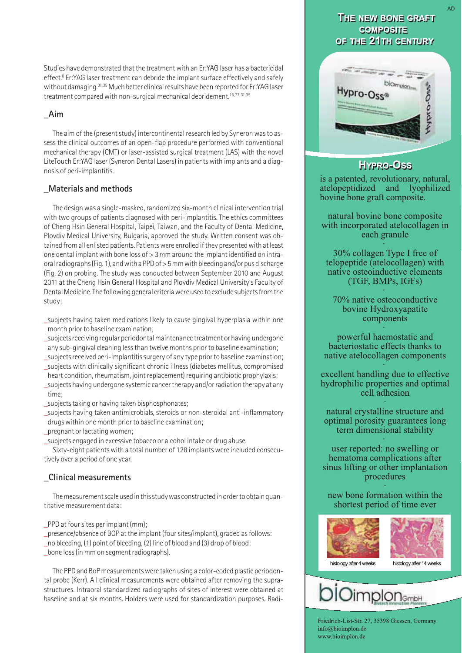Studies have demonstrated that the treatment with an Er:YAG laser has a bactericidal effect.8 Er:YAG laser treatment can debride the implant surface effectively and safely without damaging.31,35Much better clinical results have been reported for Er:YAG laser treatment compared with non-surgical mechanical debridement.<sup>15,27,31,35</sup>

## **\_Aim**

The aim of the (present study) intercontinental research led by Syneron was to assess the clinical outcomes of an open-flap procedure performed with conventional mechanical therapy (CMT) or laser-assisted surgical treatment (LAS) with the novel LiteTouch Er:YAG laser (Syneron Dental Lasers) in patients with implants and a diagnosis of peri-implantitis.

### **\_Materials and methods**

The design was a single-masked, randomized six-month clinical intervention trial with two groups of patients diagnosed with peri-implantitis. The ethics committees of Cheng Hsin General Hospital, Taipei, Taiwan, and the Faculty of Dental Medicine, Plovdiv Medical University, Bulgaria, approved the study. Written consent was obtained from all enlisted patients. Patients were enrolled if they presented with at least one dental implant with bone loss of > 3mm around the implant identified on intraoral radiographs (Fig. 1), and with a PPD of > 5mm with bleeding and/or pus discharge (Fig. 2) on probing. The study was conducted between September 2010 and August 2011 at the Cheng Hsin General Hospital and Plovdiv Medical University's Faculty of Dental Medicine. The following general criteria were used to exclude subjects from the study:

subjects having taken medications likely to cause gingival hyperplasia within one month prior to baseline examination;

\_subjects receiving regular periodontal maintenance treatment or having undergone any sub-gingival cleaning less than twelve months prior to baseline examination;

\_subjects received peri-implantitis surgery of any type prior to baseline examination; \_subjects with clinically significant chronic illness (diabetes mellitus, compromised

heart condition, rheumatism, joint replacement) requiring antibiotic prophylaxis; \_subjects having undergone systemic cancer therapy and/or radiation therapy at any

time; \_subjects taking or having taken bisphosphonates;

\_subjects having taken antimicrobials, steroids or non-steroidal anti-inflammatory drugs within one month prior to baseline examination;

\_pregnant or lactating women;

\_subjects engaged in excessive tobacco or alcohol intake or drug abuse.

Sixty-eight patients with a total number of 128 implants were included consecutively over a period of one year.

#### **\_Clinical measurements**

The measurement scale used in this study was constructed in order to obtain quantitative measurement data:

\_PPD at four sites per implant (mm);

\_presence/absence of BOP at the implant (four sites/implant), graded as follows: \_no bleeding, (1) point of bleeding, (2) line of blood and (3) drop of blood; \_bone loss (in mm on segment radiographs).

The PPD and BoP measurements were taken using a color-coded plastic periodontal probe (Kerr). All clinical measurements were obtained after removing the supra structures. Intraoral standardized radiographs of sites of interest were obtained at baseline and at six months. Holders were used for standardization purposes. Radi-

# THE NEW BONE GRAFT **COMPOSITE** OF THE 21TH CENTURY



# **HYPRO-OSS**

is a patented, revolutionary, natural, atelopeptidized and lyophilized bovine bone graft composite.

natural bovine bone composite with incorporated atelocollagen in each granule

30% collagen Type I free of telopeptide (atelocollagen) with native osteoinductive elements (TGF, BMPs, IGFs)

70% native osteoconductive bovine Hydroxyapatite components

powerful haemostatic and bacteriostatic effects thanks to native atelocollagen components

excellent handling due to effective hydrophilic properties and optimal cell adhesion

natural crystalline structure and optimal porosity guarantees long term dimensional stability

user reported: no swelling or hematoma complications after sinus lifting or other implantation procedures

new bone formation within the shortest period of time ever





Friedrich-List-Str. 27, 35398 Giessen, Germany info@bioimplon.de www.bioimplon.de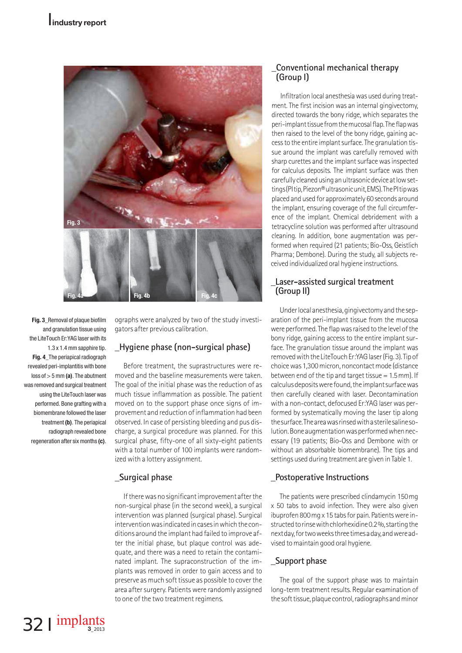

**Fig. 3**\_Removal of plaque biofilm and granulation tissue using the LiteTouch Er:YAG laser with its 1.3 x 1.4 mm sapphire tip. **Fig. 4**\_The periapical radiograph revealed peri-implantitis with bone loss of > 5 mm **(a)**. The abutment was removed and surgical treatment using the LiteTouch laser was performed. Bone grafting with a biomembrane followed the laser treatment **(b)**. The periapical radiograph revealed bone regeneration after six months **(c)**.

ographs were analyzed by two of the study investigators after previous calibration.

# **\_Hygiene phase (non-surgical phase)**

Before treatment, the suprastructures were removed and the baseline measurements were taken. The goal of the initial phase was the reduction of as much tissue inflammation as possible. The patient moved on to the support phase once signs of improvement and reduction of inflammation had been observed. In case of persisting bleeding and pus discharge, a surgical procedure was planned. For this surgical phase, fifty-one of all sixty-eight patients with a total number of 100 implants were randomized with a lottery assignment.

# **\_Surgical phase**

If there was no significant improvement after the non-surgical phase (in the second week), a surgical intervention was planned (surgical phase). Surgical intervention was indicated in cases in which the conditions around the implant had failed to improve after the initial phase, but plaque control was adequate, and there was a need to retain the contaminated implant. The supraconstruction of the implants was removed in order to gain access and to preserve as much soft tissue as possible to cover the area after surgery. Patients were randomly assigned to one of the two treatment regimens.

## **\_Conventional mechanical therapy (Group I)**

Infiltration local anesthesia was used during treatment. The first incision was an internal gingivectomy, directed towards the bony ridge, which separates the peri-implant tissue from the mucosal flap. The flap was then raised to the level of the bony ridge, gaining access to the entire implant surface. The granulation tissue around the implant was carefully removed with sharp curettes and the implant surface was inspected for calculus deposits. The implant surface was then carefully cleaned using an ultrasonic device at low settings (PI tip, Piezon® ultrasonic unit, EMS). The PI tip was placed and used for approximately 60 seconds around the implant, ensuring coverage of the full circumference of the implant. Chemical debridement with a tetracycline solution was performed after ultrasound cleaning. In addition, bone augmentation was performed when required (21 patients; Bio-Oss, Geistlich Pharma; Dembone). During the study, all subjects received individualized oral hygiene instructions.

#### **\_Laser-assisted surgical treatment (Group II)**

Under local anesthesia, gingivectomy and the separation of the peri-implant tissue from the mucosa were performed. The flap was raised to the level of the bony ridge, gaining access to the entire implant surface. The granulation tissue around the implant was removed with the LiteTouch Er:YAG laser (Fig. 3). Tip of choice was 1,300 micron, noncontact mode (distance between end of the tip and target tissue =  $1.5$  mm). If calculus deposits were found, the implant surface was then carefully cleaned with laser. Decontamination with a non-contact, defocused Er:YAG laser was performed by systematically moving the laser tip along the surface. The area was rinsed with a sterile saline solution. Bone augmentation was performed when necessary (19 patients; Bio-Oss and Dembone with or without an absorbable biomembrane). The tips and settings used during treatment are given in Table 1.

### **\_Postoperative Instructions**

The patients were prescribed clindamycin 150mg x 50 tabs to avoid infection. They were also given ibuprofen 800mg x 15 tabs for pain. Patients were instructed to rinse with chlorhexidine 0.2%, starting the next day, for two weeks three times a day, and were advised to maintain good oral hygiene.

### **\_Support phase**

The goal of the support phase was to maintain long-term treatment results. Regular examination of the soft tissue, plaque control, radiographs and minor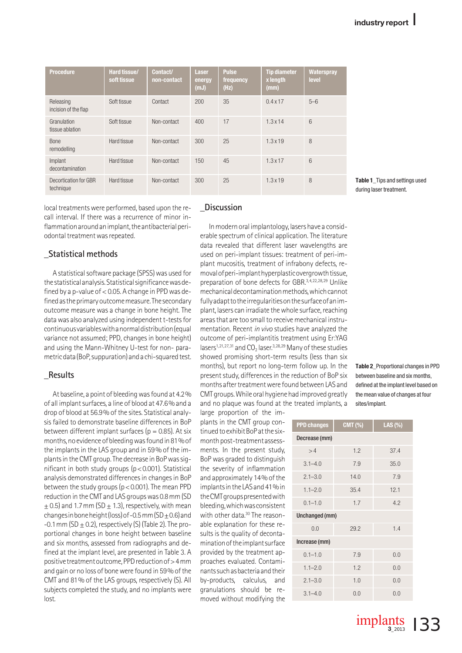| <b>Procedure</b>                   | Hard tissue/<br>soft tissue | Contact/<br>non-contact | <b>Laser</b><br>energy<br>(mJ) | <b>Pulse</b><br>frequency<br>(Hz) | <b>Tip diameter</b><br>x length<br>(mm) | Waterspray<br>level |
|------------------------------------|-----------------------------|-------------------------|--------------------------------|-----------------------------------|-----------------------------------------|---------------------|
| Releasing<br>incision of the flap  | Soft tissue                 | Contact                 | 200                            | 35                                | $0.4 \times 17$                         | $5 - 6$             |
| Granulation<br>tissue ablation     | Soft tissue                 | Non-contact             | 400                            | 17                                | $1.3 \times 14$                         | 6                   |
| <b>Bone</b><br>remodelling         | Hard tissue                 | Non-contact             | 300                            | 25                                | $1.3 \times 19$                         | 8                   |
| Implant<br>decontamination         | Hard tissue                 | Non-contact             | 150                            | 45                                | $1.3 \times 17$                         | 6                   |
| Decortication for GBR<br>technique | Hard tissue                 | Non-contact             | 300                            | 25                                | $1.3 \times 19$                         | 8                   |

**Table 1**\_Tips and settings used during laser treatment.

local treatments were performed, based upon the recall interval. If there was a recurrence of minor inflammation around an implant, the antibacterial periodontal treatment was repeated.

#### **\_Statistical methods**

A statistical software package (SPSS) was used for the statistical analysis. Statistical significance was defined by a p-value of < 0.05. A change in PPD was defined as the primary outcome measure. The secondary outcome measure was a change in bone height. The data was also analyzed using independent t-tests for continuous variables with a normal distribution (equal variance not assumed; PPD, changes in bone height) and using the Mann-Whitney U-test for non- parametric data (BoP, suppuration) and a chi-squared test.

## **\_Results**

At baseline, a point of bleeding was found at 4.2% of all implant surfaces, a line of blood at 47.6% and a drop of blood at 56.9% of the sites. Statistical analysis failed to demonstrate baseline differences in BoP between different implant surfaces ( $p = 0.85$ ). At six months, no evidence of bleeding was found in 81% of the implants in the LAS group and in 59% of the implants in the CMT group. The decrease in BoP was significant in both study groups (p < 0.001). Statistical analysis demonstrated differences in changes in BoP between the study groups (p < 0.001). The mean PPD reduction in the CMT and LAS groups was 0.8mm (SD  $+ 0.5$ ) and 1.7 mm (SD  $+ 1.3$ ), respectively, with mean changes in bone height (loss) of -0.5 mm  $(SD + 0.6)$  and  $-0.1$  mm (SD  $+$  0.2), respectively (S) (Table 2). The proportional changes in bone height between baseline and six months, assessed from radiographs and defined at the implant level, are presented in Table 3. A positive treatment outcome, PPD reduction of >4mm and gain or no loss of bone were found in 59% of the CMT and 81% of the LAS groups, respectively (S). All subjects completed the study, and no implants were lost.

# **\_Discussion**

In modern oral implantology, lasers have a considerable spectrum of clinical application. The literature data revealed that different laser wavelengths are used on peri-implant tissues: treatment of peri-implant mucositis, treatment of infrabony defects, removal of peri-implant hyperplastic overgrowth tissue, preparation of bone defects for GBR.3,4,22,28,29 Unlike mechanical decontamination methods, which cannot fully adapt to the irregularities on the surface of an implant, lasers can irradiate the whole surface, reaching areas that are too small to receive mechanical instrumentation. Recent *in vivo* studies have analyzed the outcome of peri-implantitis treatment using Er:YAG lasers<sup>1,21,27,31</sup> and  $CO<sub>2</sub>$  laser.<sup>3,28,29</sup> Many of these studies showed promising short-term results (less than six months), but report no long-term follow up. In the present study, differences in the reduction of BoP six months after treatment were found between LAS and CMT groups. While oral hygiene had improved greatly and no plaque was found at the treated implants, a

large proportion of the implants in the CMT group continued to exhibit BoP at the sixmonth post-treatment assessments. In the present study, BoP was graded to distinguish the severity of inflammation and approximately 14% of the implants in the LAS and 41% in the CMT groups presented with bleeding, which was consistent with other data.<sup>30</sup> The reasonable explanation for these results is the quality of decontamination of the implant surface provided by the treatment approaches evaluated. Contaminants such as bacteria and their by-products, calculus, and granulations should be removed without modifying the

**Table 2**\_Proportional changes in PPD between baseline and six months, defined at the implant level based on the mean value of changes at four sites/implant.

| <b>PPD changes</b> | $CMT$ (%) | LAS (%) |  |  |  |  |  |
|--------------------|-----------|---------|--|--|--|--|--|
| Decrease (mm)      |           |         |  |  |  |  |  |
| >4                 | 1.2       | 37.4    |  |  |  |  |  |
| $3.1 - 4.0$        | 7.9       | 35.0    |  |  |  |  |  |
| $2.1 - 3.0$        | 14.0      | 7.9     |  |  |  |  |  |
| $1.1 - 2.0$        | 35.4      | 12.1    |  |  |  |  |  |
| $0.1 - 1.0$        | 1.7       | 4.2     |  |  |  |  |  |
| Unchanged (mm)     |           |         |  |  |  |  |  |
| 0.0                | 29.2      | 1.4     |  |  |  |  |  |
| Increase (mm)      |           |         |  |  |  |  |  |
| $0.1 - 1.0$        | 7.9       | 0.0     |  |  |  |  |  |
| $1.1 - 2.0$        | 1.2       | 0.0     |  |  |  |  |  |
| $2.1 - 3.0$        | 1.0       | 0.0     |  |  |  |  |  |
| $3.1 - 4.0$        | 0.0       | 0.0     |  |  |  |  |  |

 $implants$  | 33